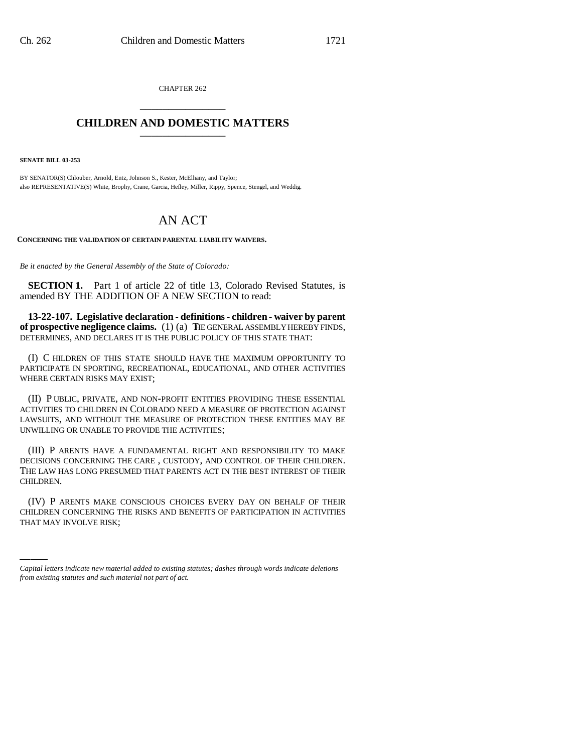CHAPTER 262 \_\_\_\_\_\_\_\_\_\_\_\_\_\_\_

## **CHILDREN AND DOMESTIC MATTERS** \_\_\_\_\_\_\_\_\_\_\_\_\_\_\_

**SENATE BILL 03-253**

BY SENATOR(S) Chlouber, Arnold, Entz, Johnson S., Kester, McElhany, and Taylor; also REPRESENTATIVE(S) White, Brophy, Crane, Garcia, Hefley, Miller, Rippy, Spence, Stengel, and Weddig.

## AN ACT

**CONCERNING THE VALIDATION OF CERTAIN PARENTAL LIABILITY WAIVERS.**

*Be it enacted by the General Assembly of the State of Colorado:*

**SECTION 1.** Part 1 of article 22 of title 13, Colorado Revised Statutes, is amended BY THE ADDITION OF A NEW SECTION to read:

**13-22-107. Legislative declaration - definitions - children - waiver by parent of prospective negligence claims.** (1) (a) THE GENERAL ASSEMBLY HEREBY FINDS, DETERMINES, AND DECLARES IT IS THE PUBLIC POLICY OF THIS STATE THAT:

(I) C HILDREN OF THIS STATE SHOULD HAVE THE MAXIMUM OPPORTUNITY TO PARTICIPATE IN SPORTING, RECREATIONAL, EDUCATIONAL, AND OTHER ACTIVITIES WHERE CERTAIN RISKS MAY EXIST;

(II) P UBLIC, PRIVATE, AND NON-PROFIT ENTITIES PROVIDING THESE ESSENTIAL ACTIVITIES TO CHILDREN IN COLORADO NEED A MEASURE OF PROTECTION AGAINST LAWSUITS, AND WITHOUT THE MEASURE OF PROTECTION THESE ENTITIES MAY BE UNWILLING OR UNABLE TO PROVIDE THE ACTIVITIES;

(III) P ARENTS HAVE A FUNDAMENTAL RIGHT AND RESPONSIBILITY TO MAKE DECISIONS CONCERNING THE CARE , CUSTODY, AND CONTROL OF THEIR CHILDREN. THE LAW HAS LONG PRESUMED THAT PARENTS ACT IN THE BEST INTEREST OF THEIR CHILDREN.

(IV) P ARENTS MAKE CONSCIOUS CHOICES EVERY DAY ON BEHALF OF THEIR CHILDREN CONCERNING THE RISKS AND BENEFITS OF PARTICIPATION IN ACTIVITIES THAT MAY INVOLVE RISK;

<sup>)))))</sup> *Capital letters indicate new material added to existing statutes; dashes through words indicate deletions from existing statutes and such material not part of act.*